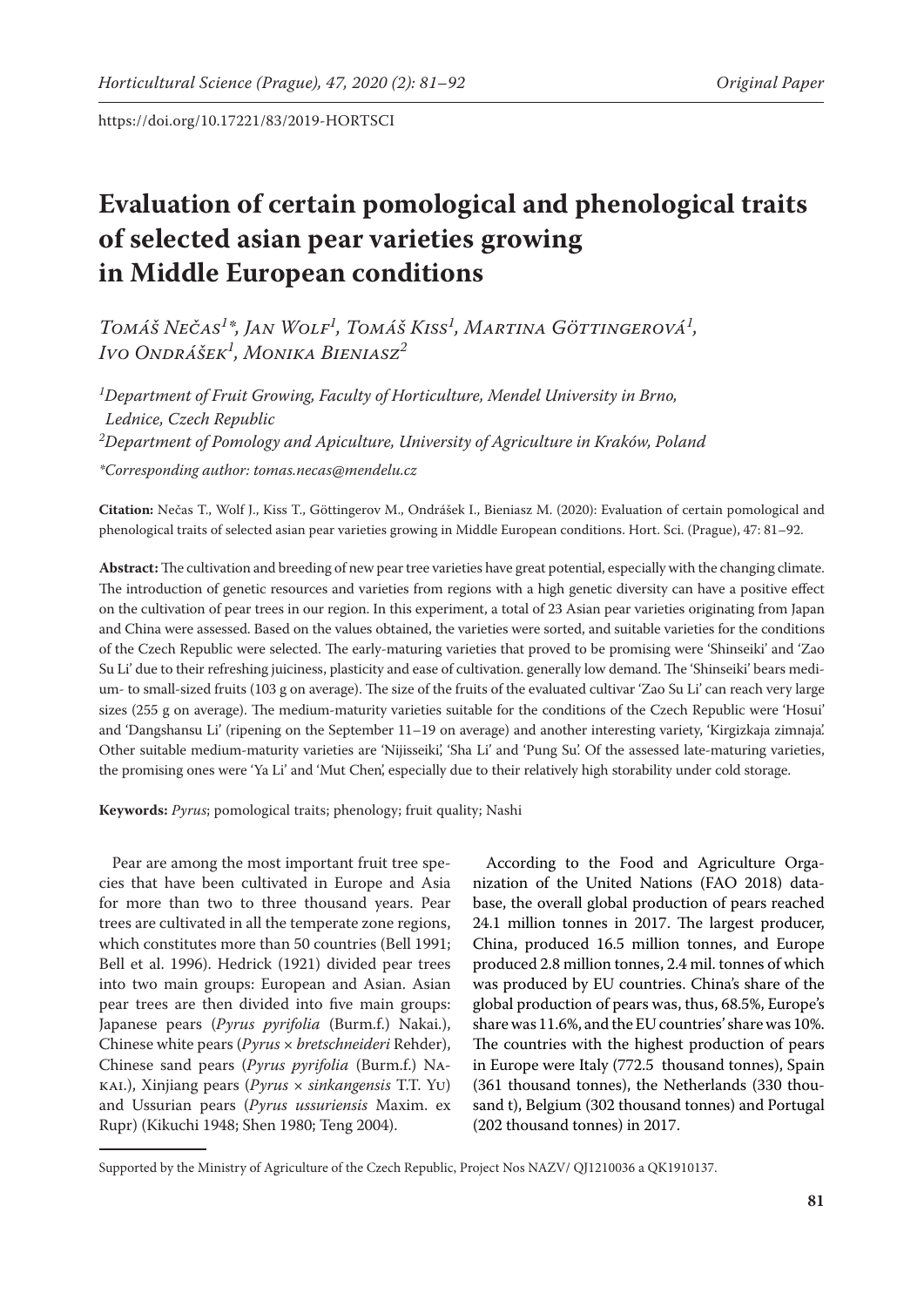# **Evaluation of certain pomological and phenological traits of selected asian pear varieties growing in Middle European conditions**

*Tomáš Nečas<sup>1</sup> \*, Jan Wolf<sup>1</sup> , Tomáš Kiss<sup>1</sup> , Martina Göttingerová1 , Ivo Ondrášek1 , Monika Bieniasz2*

*1 Department of Fruit Growing, Faculty of Horticulture, Mendel University in Brno, Lednice, Czech Republic 2 Department of Pomology and Apiculture, University of Agriculture in Kraków, Poland \*Corresponding author: tomas.necas@mendelu.cz*

**Citation:** Nečas T., Wolf J., Kiss T., Göttingerov M., Ondrášek I., Bieniasz M. (2020): Evaluation of certain pomological and phenological traits of selected asian pear varieties growing in Middle European conditions. Hort. Sci. (Prague), 47: 81–92.

**Abstract:** The cultivation and breeding of new pear tree varieties have great potential, especially with the changing climate. The introduction of genetic resources and varieties from regions with a high genetic diversity can have a positive effect on the cultivation of pear trees in our region. In this experiment, a total of 23 Asian pear varieties originating from Japan and China were assessed. Based on the values obtained, the varieties were sorted, and suitable varieties for the conditions of the Czech Republic were selected. The early-maturing varieties that proved to be promising were 'Shinseiki' and 'Zao Su Li' due to their refreshing juiciness, plasticity and ease of cultivation. generally low demand. The 'Shinseiki' bears medium- to small-sized fruits (103 g on average). The size of the fruits of the evaluated cultivar 'Zao Su Li' can reach very large sizes (255 g on average). The medium-maturity varieties suitable for the conditions of the Czech Republic were 'Hosui' and 'Dangshansu Li' (ripening on the September 11–19 on average) and another interesting variety, 'Kirgizkaja zimnaja'. Other suitable medium-maturity varieties are 'Nijisseiki', 'Sha Li' and 'Pung Su'. Of the assessed late-maturing varieties, the promising ones were 'Ya Li' and 'Mut Chen', especially due to their relatively high storability under cold storage.

**Keywords:** *Pyrus*; pomological traits; phenology; fruit quality; Nashi

Pear are among the most important fruit tree species that have been cultivated in Europe and Asia for more than two to three thousand years. Pear trees are cultivated in all the temperate zone regions, which constitutes more than 50 countries (Bell 1991; Bell et al. 1996). Hedrick (1921) divided pear trees into two main groups: European and Asian. Asian pear trees are then divided into five main groups: Japanese pears (*Pyrus pyrifolia* (Burm.f.) Nakai.), Chinese white pears (*Pyrus* × *bretschneideri* Rehder), Chinese sand pears (*Pyrus pyrifolia* (Burm.f.) Nakai.), Xinjiang pears (*Pyrus* × *sinkangensis* T.T. Yu) and Ussurian pears (*Pyrus ussuriensis* Maxim. ex Rupr) (Kikuchi 1948; Shen 1980; Teng 2004).

According to the Food and Agriculture Organization of the United Nations (FAO 2018) database, the overall global production of pears reached 24.1 million tonnes in 2017. The largest producer, China, produced 16.5 million tonnes, and Europe produced 2.8 million tonnes, 2.4 mil. tonnes of which was produced by EU countries. China's share of the global production of pears was, thus, 68.5%, Europe's share was 11.6%, and the EU countries' share was 10%. The countries with the highest production of pears in Europe were Italy (772.5 thousand tonnes), Spain (361 thousand tonnes), the Netherlands (330 thousand t), Belgium (302 thousand tonnes) and Portugal (202 thousand tonnes) in 2017.

Supported by the Ministry of Agriculture of the Czech Republic, Project Nos NAZV/ QJ1210036 a QK1910137.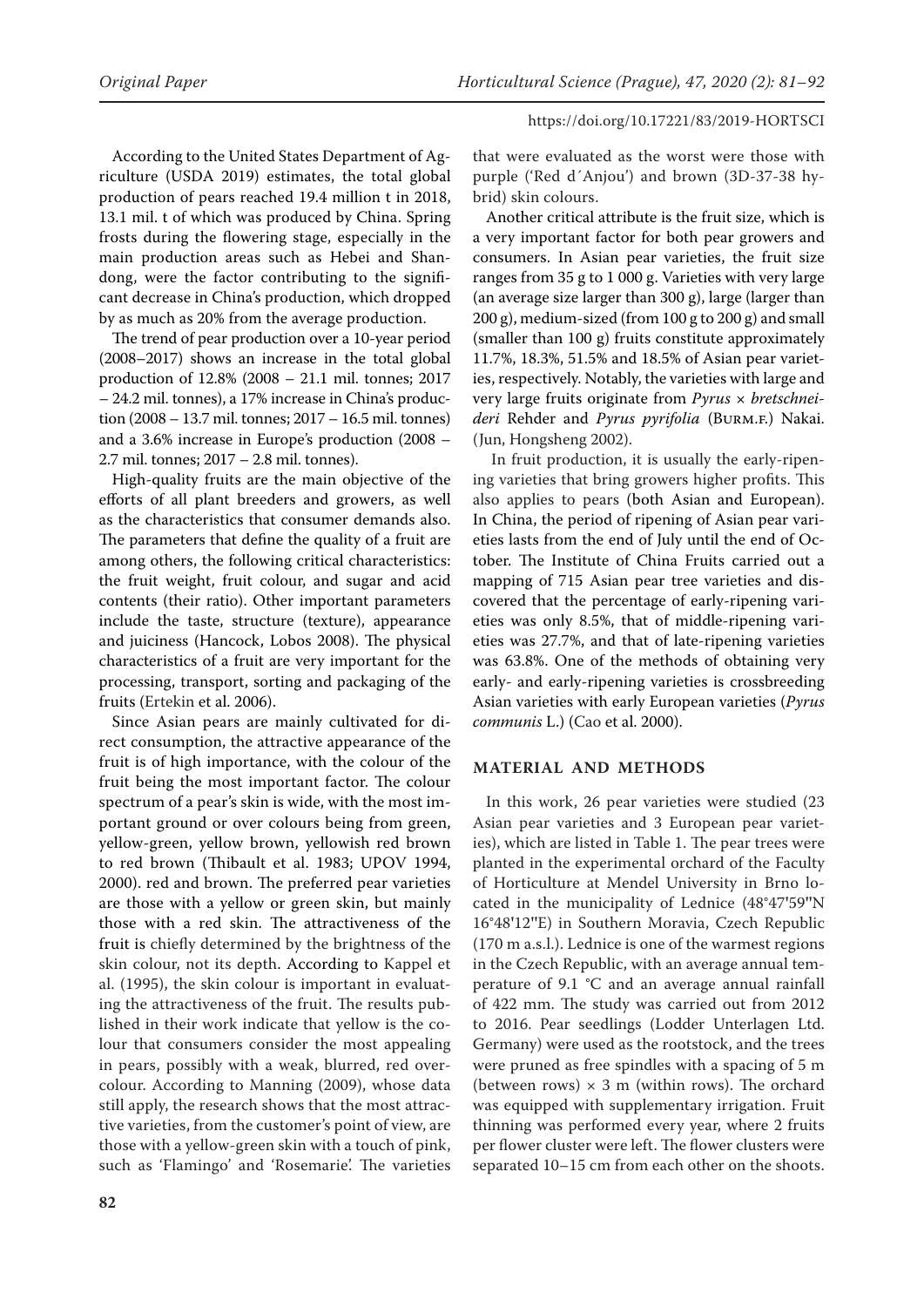According to the United States Department of Agriculture (USDA 2019) estimates, the total global production of pears reached 19.4 million t in 2018, 13.1 mil. t of which was produced by China. Spring frosts during the flowering stage, especially in the main production areas such as Hebei and Shandong, were the factor contributing to the significant decrease in China's production, which dropped by as much as 20% from the average production.

The trend of pear production over a 10-year period (2008–2017) shows an increase in the total global production of 12.8% (2008 – 21.1 mil. tonnes; 2017 – 24.2 mil. tonnes), a 17% increase in China's production (2008 – 13.7 mil. tonnes; 2017 – 16.5 mil. tonnes) and a 3.6% increase in Europe's production (2008 – 2.7 mil. tonnes; 2017 – 2.8 mil. tonnes).

High-quality fruits are the main objective of the efforts of all plant breeders and growers, as well as the characteristics that consumer demands also. The parameters that define the quality of a fruit are among others, the following critical characteristics: the fruit weight, fruit colour, and sugar and acid contents (their ratio). Other important parameters include the taste, structure (texture), appearance and juiciness (Hancock, Lobos 2008). The physical characteristics of a fruit are very important for the processing, transport, sorting and packaging of the fruits (Ertekin et al. 2006).

Since Asian pears are mainly cultivated for direct consumption, the attractive appearance of the fruit is of high importance, with the colour of the fruit being the most important factor. The colour spectrum of a pear's skin is wide, with the most important ground or over colours being from green, yellow-green, yellow brown, yellowish red brown to red brown (Thibault et al. 1983; UPOV 1994, 2000). red and brown. The preferred pear varieties are those with a yellow or green skin, but mainly those with a red skin. The attractiveness of the fruit is chiefly determined by the brightness of the skin colour, not its depth. According to Kappel et al. (1995), the skin colour is important in evaluating the attractiveness of the fruit. The results published in their work indicate that yellow is the colour that consumers consider the most appealing in pears, possibly with a weak, blurred, red overcolour. According to Manning (2009), whose data still apply, the research shows that the most attractive varieties, from the customer's point of view, are those with a yellow-green skin with a touch of pink, such as 'Flamingo' and 'Rosemarie'. The varieties

that were evaluated as the worst were those with purple ('Red d´Anjou') and brown (3D-37-38 hybrid) skin colours.

Another critical attribute is the fruit size, which is a very important factor for both pear growers and consumers. In Asian pear varieties, the fruit size ranges from 35 g to 1 000 g. Varieties with very large (an average size larger than 300 g), large (larger than 200 g), medium-sized (from 100 g to 200 g) and small (smaller than 100 g) fruits constitute approximately 11.7%, 18.3%, 51.5% and 18.5% of Asian pear varieties, respectively. Notably, the varieties with large and very large fruits originate from *Pyrus* × *bretschneideri* Rehder and *Pyrus pyrifolia* (Burm.f.) Nakai. (Jun, Hongsheng 2002).

 In fruit production, it is usually the early-ripening varieties that bring growers higher profits. This also applies to pears (both Asian and European). In China, the period of ripening of Asian pear varieties lasts from the end of July until the end of October. The Institute of China Fruits carried out a mapping of 715 Asian pear tree varieties and discovered that the percentage of early-ripening varieties was only 8.5%, that of middle-ripening varieties was 27.7%, and that of late-ripening varieties was 63.8%. One of the methods of obtaining very early- and early-ripening varieties is crossbreeding Asian varieties with early European varieties (*Pyrus communis* L.) (Cao et al. 2000).

# **MATERIAL AND METHODS**

In this work, 26 pear varieties were studied (23 Asian pear varieties and 3 European pear varieties), which are listed in Table 1. The pear trees were planted in the experimental orchard of the Faculty of Horticulture at Mendel University in Brno located in the municipality of Lednice (48°47**'**59**''**N 16°48**'**12**''**E) in Southern Moravia, Czech Republic (170 m a.s.l.). Lednice is one of the warmest regions in the Czech Republic, with an average annual temperature of  $9.1$  °C and an average annual rainfall of 422 mm. The study was carried out from 2012 to 2016. Pear seedlings (Lodder Unterlagen Ltd. Germany) were used as the rootstock, and the trees were pruned as free spindles with a spacing of 5 m (between rows)  $\times$  3 m (within rows). The orchard was equipped with supplementary irrigation. Fruit thinning was performed every year, where 2 fruits per flower cluster were left. The flower clusters were separated 10–15 cm from each other on the shoots.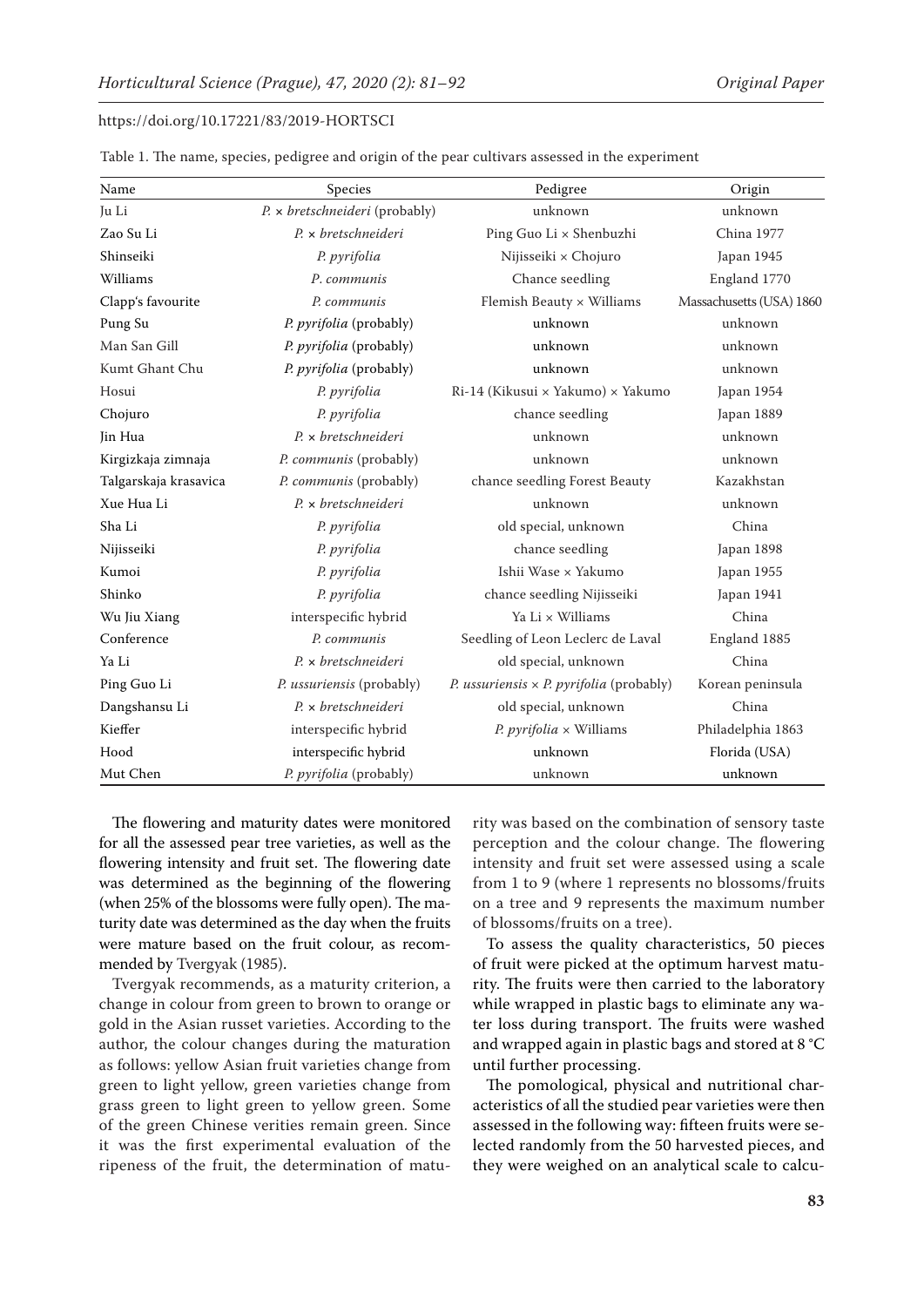| Name                  | Species                                  | Pedigree                                        | Origin                   |
|-----------------------|------------------------------------------|-------------------------------------------------|--------------------------|
| Ju Li                 | P. x bretschneideri (probably)           | unknown                                         | unknown                  |
| Zao Su Li             | $P_{\cdot} \times$ bretschneideri        | Ping Guo Li x Shenbuzhi                         | China 1977               |
| Shinseiki             | P. pyrifolia                             | Nijisseiki × Chojuro                            | Japan 1945               |
| Williams              | P. communis                              | Chance seedling                                 | England 1770             |
| Clapp's favourite     | P. communis                              | Flemish Beauty × Williams                       | Massachusetts (USA) 1860 |
| Pung Su               | P. pyrifolia (probably)                  | unknown                                         | unknown                  |
| Man San Gill          | P. pyrifolia (probably)                  | unknown                                         | unknown                  |
| Kumt Ghant Chu        | P. pyrifolia (probably)                  | unknown                                         | unknown                  |
| Hosui                 | P. pyrifolia                             | Ri-14 (Kikusui × Yakumo) × Yakumo               | Japan 1954               |
| Chojuro               | P. pyrifolia                             | chance seedling                                 | Japan 1889               |
| Jin Hua               | P. x bretschneideri                      | unknown                                         | unknown                  |
| Kirgizkaja zimnaja    | P. communis (probably)                   | unknown                                         | unknown                  |
| Talgarskaja krasavica | P. communis (probably)                   | chance seedling Forest Beauty                   | Kazakhstan               |
| Xue Hua Li            | $P_{\cdot} \times$ bretschneideri        | unknown                                         | unknown                  |
| Sha Li                | P. pyrifolia                             | old special, unknown                            | China                    |
| Nijisseiki            | P. pyrifolia                             | chance seedling                                 | Japan 1898               |
| Kumoi                 | P. pyrifolia                             | Ishii Wase × Yakumo                             | Japan 1955               |
| Shinko                | P. pyrifolia                             | chance seedling Nijisseiki                      | Japan 1941               |
| Wu Jiu Xiang          | interspecific hybrid                     | Ya Li × Williams                                | China                    |
| Conference            | P. communis                              | Seedling of Leon Leclerc de Laval               | England 1885             |
| Ya Li                 | $P_{\rm t} \times \text{bretschneideri}$ | old special, unknown                            | China                    |
| Ping Guo Li           | P. ussuriensis (probably)                | P. ussuriensis $\times$ P. pyrifolia (probably) | Korean peninsula         |
| Dangshansu Li         | $P_{\cdot} \times$ bretschneideri        | old special, unknown                            | China                    |
| Kieffer               | interspecific hybrid                     | $P. pyrifolia \times Williams$                  | Philadelphia 1863        |
| Hood                  | interspecific hybrid                     | unknown                                         | Florida (USA)            |
| Mut Chen              | P. pyrifolia (probably)                  | unknown                                         | unknown                  |

Table 1. The name, species, pedigree and origin of the pear cultivars assessed in the experiment

The flowering and maturity dates were monitored for all the assessed pear tree varieties, as well as the flowering intensity and fruit set. The flowering date was determined as the beginning of the flowering (when 25% of the blossoms were fully open). The maturity date was determined as the day when the fruits were mature based on the fruit colour, as recommended by Tvergyak (1985).

Tvergyak recommends, as a maturity criterion, a change in colour from green to brown to orange or gold in the Asian russet varieties. According to the author, the colour changes during the maturation as follows: yellow Asian fruit varieties change from green to light yellow, green varieties change from grass green to light green to yellow green. Some of the green Chinese verities remain green. Since it was the first experimental evaluation of the ripeness of the fruit, the determination of maturity was based on the combination of sensory taste perception and the colour change. The flowering intensity and fruit set were assessed using a scale from 1 to 9 (where 1 represents no blossoms/fruits on a tree and 9 represents the maximum number of blossoms/fruits on a tree).

To assess the quality characteristics, 50 pieces of fruit were picked at the optimum harvest maturity. The fruits were then carried to the laboratory while wrapped in plastic bags to eliminate any water loss during transport. The fruits were washed and wrapped again in plastic bags and stored at 8 °C until further processing.

The pomological, physical and nutritional characteristics of all the studied pear varieties were then assessed in the following way: fifteen fruits were selected randomly from the 50 harvested pieces, and they were weighed on an analytical scale to calcu-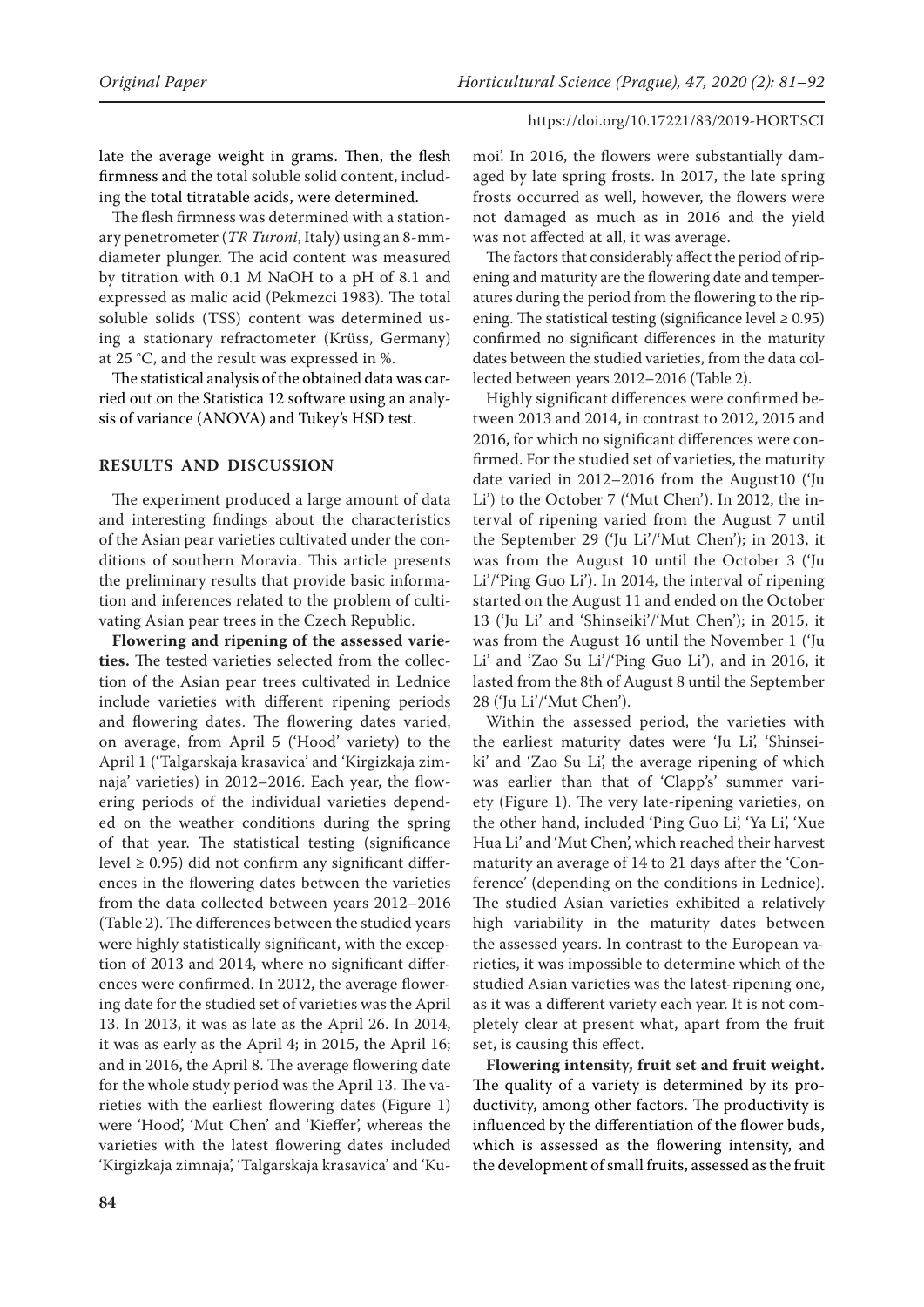late the average weight in grams. Then, the flesh firmness and the total soluble solid content, including the total titratable acids, were determined.

The flesh firmness was determined with a stationary penetrometer (*TR Turoni*, Italy) using an 8-mmdiameter plunger. The acid content was measured by titration with 0.1 M NaOH to a pH of 8.1 and expressed as malic acid (Pekmezci 1983). The total soluble solids (TSS) content was determined using a stationary refractometer (Krüss, Germany) at 25 °C, and the result was expressed in %.

The statistical analysis of the obtained data was carried out on the Statistica 12 software using an analysis of variance (ANOVA) and Tukey's HSD test.

# **RESULTS AND DISCUSSION**

The experiment produced a large amount of data and interesting findings about the characteristics of the Asian pear varieties cultivated under the conditions of southern Moravia. This article presents the preliminary results that provide basic information and inferences related to the problem of cultivating Asian pear trees in the Czech Republic.

**Flowering and ripening of the assessed varieties.** The tested varieties selected from the collection of the Asian pear trees cultivated in Lednice include varieties with different ripening periods and flowering dates. The flowering dates varied, on average, from April 5 ('Hood' variety) to the April 1 ('Talgarskaja krasavica' and 'Kirgizkaja zimnaja' varieties) in 2012–2016. Each year, the flowering periods of the individual varieties depended on the weather conditions during the spring of that year. The statistical testing (significance level  $\geq$  0.95) did not confirm any significant differences in the flowering dates between the varieties from the data collected between years 2012–2016 (Table 2). The differences between the studied years were highly statistically significant, with the exception of 2013 and 2014, where no significant differences were confirmed. In 2012, the average flowering date for the studied set of varieties was the April 13. In 2013, it was as late as the April 26. In 2014, it was as early as the April 4; in 2015, the April 16; and in 2016, the April 8. The average flowering date for the whole study period was the April 13. The varieties with the earliest flowering dates (Figure 1) were 'Hood', 'Mut Chen' and 'Kieffer', whereas the varieties with the latest flowering dates included 'Kirgizkaja zimnaja', 'Talgarskaja krasavica' and 'Kumoi'. In 2016, the flowers were substantially damaged by late spring frosts. In 2017, the late spring frosts occurred as well, however, the flowers were not damaged as much as in 2016 and the yield was not affected at all, it was average.

The factors that considerably affect the period of ripening and maturity are the flowering date and temperatures during the period from the flowering to the ripening. The statistical testing (significance level  $\geq 0.95$ ) confirmed no significant differences in the maturity dates between the studied varieties, from the data collected between years 2012–2016 (Table 2).

Highly significant differences were confirmed between 2013 and 2014, in contrast to 2012, 2015 and 2016, for which no significant differences were confirmed. For the studied set of varieties, the maturity date varied in 2012–2016 from the August10 ('Ju Li') to the October 7 ('Mut Chen'). In 2012, the interval of ripening varied from the August 7 until the September 29 ('Ju Li'/'Mut Chen'); in 2013, it was from the August 10 until the October 3 ('Ju Li'/'Ping Guo Li'). In 2014, the interval of ripening started on the August 11 and ended on the October 13 ('Ju Li' and 'Shinseiki'/'Mut Chen'); in 2015, it was from the August 16 until the November 1 ('Ju Li' and 'Zao Su Li'/'Ping Guo Li'), and in 2016, it lasted from the 8th of August 8 until the September 28 ('Ju Li'/'Mut Chen').

Within the assessed period, the varieties with the earliest maturity dates were 'Ju Li', 'Shinseiki' and 'Zao Su Li', the average ripening of which was earlier than that of 'Clapp's' summer variety (Figure 1). The very late-ripening varieties, on the other hand, included 'Ping Guo Li', 'Ya Li', 'Xue Hua Li' and 'Mut Chen', which reached their harvest maturity an average of 14 to 21 days after the 'Conference' (depending on the conditions in Lednice). The studied Asian varieties exhibited a relatively high variability in the maturity dates between the assessed years. In contrast to the European varieties, it was impossible to determine which of the studied Asian varieties was the latest-ripening one, as it was a different variety each year. It is not completely clear at present what, apart from the fruit set, is causing this effect.

**Flowering intensity, fruit set and fruit weight.**  The quality of a variety is determined by its productivity, among other factors. The productivity is influenced by the differentiation of the flower buds, which is assessed as the flowering intensity, and the development of small fruits, assessed as the fruit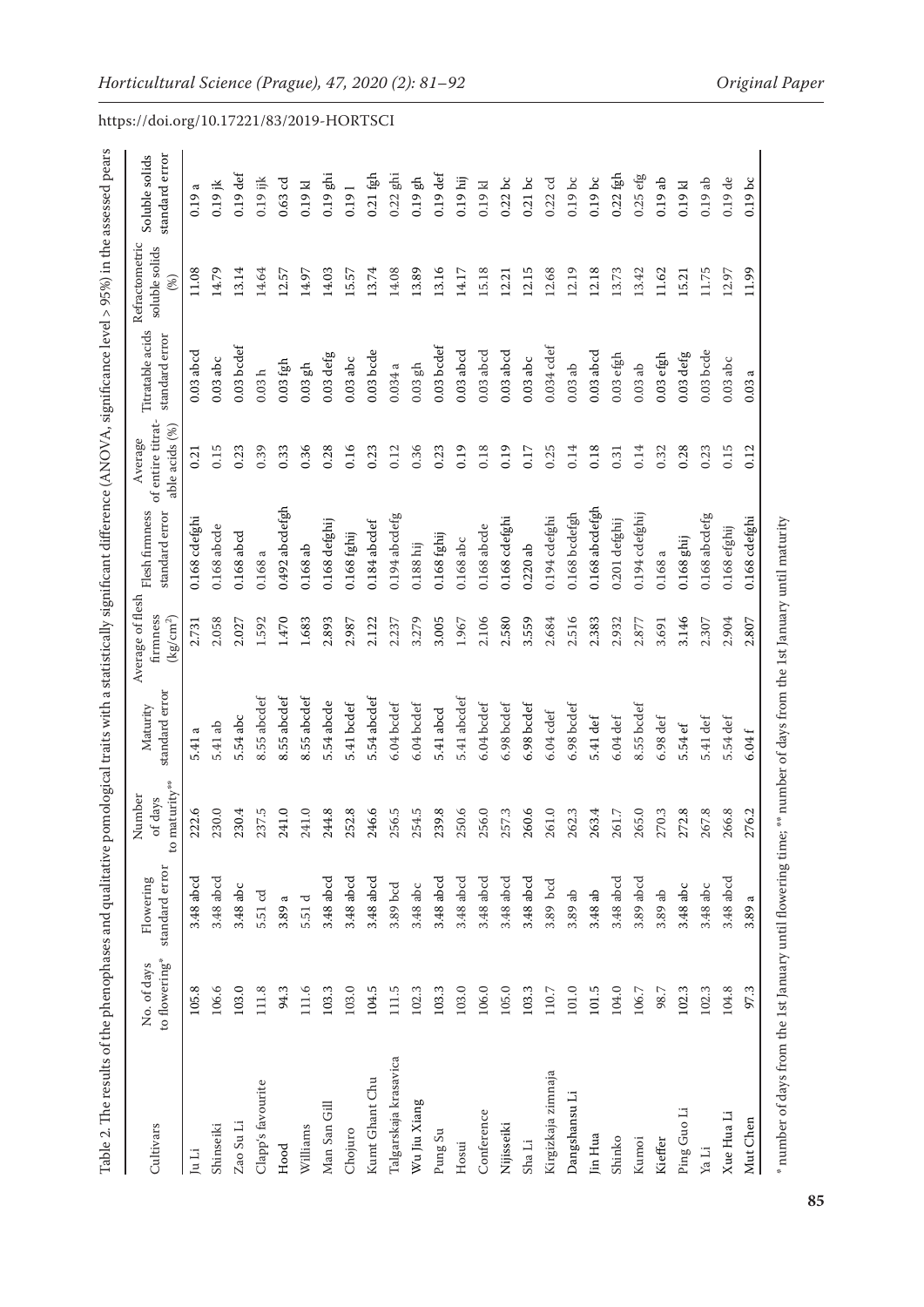| Cultivars             | to flowering*<br>No. of days | standard error<br>Flowering | to maturity**<br>Number<br>of days | standard error<br>Maturity                                                                                                 | Average of flesh<br>firmness<br>$\left({\rm kg/cm^2}\right)$ | Flesh firmness<br>standard error | of entire titrat-<br>able acids (%)<br>Average | Titratable acids<br>standard error | Refractometric<br>soluble solids<br>(%) | standard error<br>Soluble solids |
|-----------------------|------------------------------|-----------------------------|------------------------------------|----------------------------------------------------------------------------------------------------------------------------|--------------------------------------------------------------|----------------------------------|------------------------------------------------|------------------------------------|-----------------------------------------|----------------------------------|
| ju Li                 | 105.8                        | 3.48 abcd                   | 222.6                              | $\mathfrak{a}% _{T}=\mathfrak{a}_{T}\!\left( a,b\right) ,\ \mathfrak{a}_{T}=\mathfrak{a}_{T}\!\left( a,b\right) ,$<br>5.41 | 2.731                                                        | 0.168 cdefghi                    | 0.21                                           | $0.03$ abcd                        | 11.08                                   | $\varpi$<br>0.19                 |
| Shinseiki             | 106.6                        | 3.48 abcd                   | 230.0                              | 5.41 ab                                                                                                                    | 2.058                                                        | 0.168 abcde                      | 0.15                                           | $0.03$ abc                         | 14.79                                   | $0.19$ jk                        |
| Zao Su Li             | 103.0                        | 3.48 abc                    | 230.4                              | 5.54 abc                                                                                                                   | 2.027                                                        | $0.168$ abcd                     | 0.23                                           | $0.03$ bcdef                       | 13.14                                   | $0.19$ def                       |
| Clapp's favourite     | 111.8                        | 5.51 cd                     | 237.5                              | 8.55 abcdef                                                                                                                | 1.592                                                        | 0.168a                           | 0.39                                           | 0.03h                              | 14.64                                   | $0.19$ ijk                       |
| Hood                  | 94.3                         | $\epsilon$<br>3.89          | 241.0                              | 8.55 abcdef                                                                                                                | 1.470                                                        | $0.492$ abcdefgh                 | 0.33                                           | $0.03$ fgh                         | 12.57                                   | $0.63$ cd                        |
| Williams              | 111.6                        | 5.51 d                      | 241.0                              | 8.55 abcdef                                                                                                                | 1.683                                                        | $0.168$ ab                       | 0.36                                           | $0.03$ gh                          | 14.97                                   | 0.19 kl                          |
| Man San Gill          | 103.3                        | 3.48 abcd                   | 244.8                              | 5.54 abcde                                                                                                                 | 2.893                                                        | 0.168 defghij                    | 0.28                                           | $0.03$ defg                        | 14.03                                   | $0.19$ ghi                       |
| Chojuro               | 103.0                        | 3.48 abcd                   | 252.8                              | 5.41 bcdef                                                                                                                 | 2.987                                                        | $0.168$ fghij                    | 0.16                                           | $0.03$ abc                         | 5.57                                    | 0.191                            |
| Kumt Ghant Chu        | 104.5                        | 3.48 abcd                   | 246.6                              | 5.54 abcdef                                                                                                                | 2.122                                                        | $0.184$ abcdef                   | 0.23                                           | $0.03$ bcde                        | 13.74                                   | $0.21$ fgh                       |
| Talgarskaja krasavica | 111.5                        | 3.89 bcd                    | 256.5                              | 6.04 bcdef                                                                                                                 | 2.237                                                        | $0.194$ abcdefg                  | 0.12                                           | 0.034a                             | 14.08                                   | $0.22$ ghi                       |
| Wu Jiu Xiang          | 102.3                        | 3.48 abc                    | 254.5                              | 6.04 bcdef                                                                                                                 | 3.279                                                        | $0.188$ hij                      | 0.36                                           | $0.03$ gh                          | 13.89                                   | 둡<br>0.19                        |
| Pung Su               | 103.3                        | 3.48 abcd                   | 239.8                              | 5.41 abcd                                                                                                                  | 3.005                                                        | $0.168$ fghij                    | 0.23                                           | $0.03$ bcdef                       | 13.16                                   | $0.19$ def                       |
| Hosui                 | 103.0                        | 3.48 abcd                   | 250.6                              | 5.41 abcdef                                                                                                                | 1.967                                                        | 0.168 abc                        | 0.19                                           | $0.03$ abcd                        | 14.17                                   | $0.19$ hij                       |
| Conference            | 106.0                        | 3.48 abcd                   | 256.0                              | 6.04 bcdef                                                                                                                 | 2.106                                                        | 0.168 abcde                      | 0.18                                           | $0.03$ abcd                        | 5.18                                    | $0.19$ kl                        |
| Nijisseiki            | 105.0                        | 3.48 abcd                   | 257.3                              | 6.98 bcdef                                                                                                                 | 2.580                                                        | $0.168$ cdefghi                  | 0.19                                           | $0.03$ abcd                        | 12.21                                   | $0.22$ bc                        |
| Sha Li                | 103.3                        | 3.48 abcd                   | 260.6                              | 6.98 bcdef                                                                                                                 | 3.559                                                        | 0.220ab                          | 0.17                                           | $0.03$ abc                         | 12.15                                   | $0.21$ bc                        |
| Kirgizkaja zimnaja    | 110.7                        | 3.89 bcd                    | 261.0                              | $6.04$ cdef                                                                                                                | 2.684                                                        | $0.194$ $cdefghi$                | 0.25                                           | $0.034$ cdef                       | 12.68                                   | $0.22$ cd                        |
| Dangshansu Li         | 101.0                        | 3.89 ab                     | 262.3                              | 6.98 bcdef                                                                                                                 | 2.516                                                        | $0.168$ bcdefgh                  | 0.14                                           | $0.03~\rm ab$                      | 12.19                                   | $0.19$ bc                        |
| Jin Hua               | 101.5                        | 3.48 ab                     | 263.4                              | 5.41 def                                                                                                                   | 2.383                                                        | 0.168 abcdefgh                   | 0.18                                           | $0.03$ abcd                        | 12.18                                   | $0.19$ bc                        |
| Shinko                | 104.0                        | 3.48 abcd                   | 261.7                              | $6.04$ def                                                                                                                 | 2.932                                                        | $0.201$ defghij                  | 0.31                                           | $0.03$ efgh                        | 3.73                                    | $0.22$ fgh                       |
| Kumoi                 | $106.7\,$                    | 3.89 abcd                   | 265.0                              | 8.55 bcdef                                                                                                                 | 2.877                                                        | 0.194 cdefghij                   | 0.14                                           | $0.03~\rm ab$                      | 13.42                                   | 0.25 efg                         |
| Kieffer               | 98.7                         | 3.89 ab                     | 270.3                              | $6.98 \text{ def}$                                                                                                         | 3.691                                                        | 0.168a                           | 0.32                                           | $0.03$ efgh                        | 11.62                                   | 0.19ab                           |
| Ping Guo Li           | 102.3                        | 3.48 abc                    | 272.8                              | 5.54 ef                                                                                                                    | 3.146                                                        | 0.168 ghij                       | 0.28                                           | $0.03$ defg                        | 15.21                                   | $0.19$ kl                        |
| Ya Li                 | 102.3                        | 3.48 abc                    | 267.8                              | 5.41 def                                                                                                                   | 2.307                                                        | $0.168$ abcdefg                  | 0.23                                           | $0.03$ bcde                        | 11.75                                   | $0.19$ ab                        |
| Xue Hua Li            | 104.8                        | 3.48 abcd                   | 266.8                              | 5.54 def                                                                                                                   | 2.904                                                        | $0.168$ efghij                   | 0.15                                           | $0.03$ abc                         | 12.97                                   | $0.19$ de                        |
| Mut Chen              | 97.3                         | $\epsilon$<br>3.89          | 276.2                              | $6.04~\mathrm{f}$                                                                                                          | 2.807                                                        | $0.168$ $cdefghi$                | 0.12                                           | ದ<br>0.03                          | 11.99                                   | $0.19$ bc                        |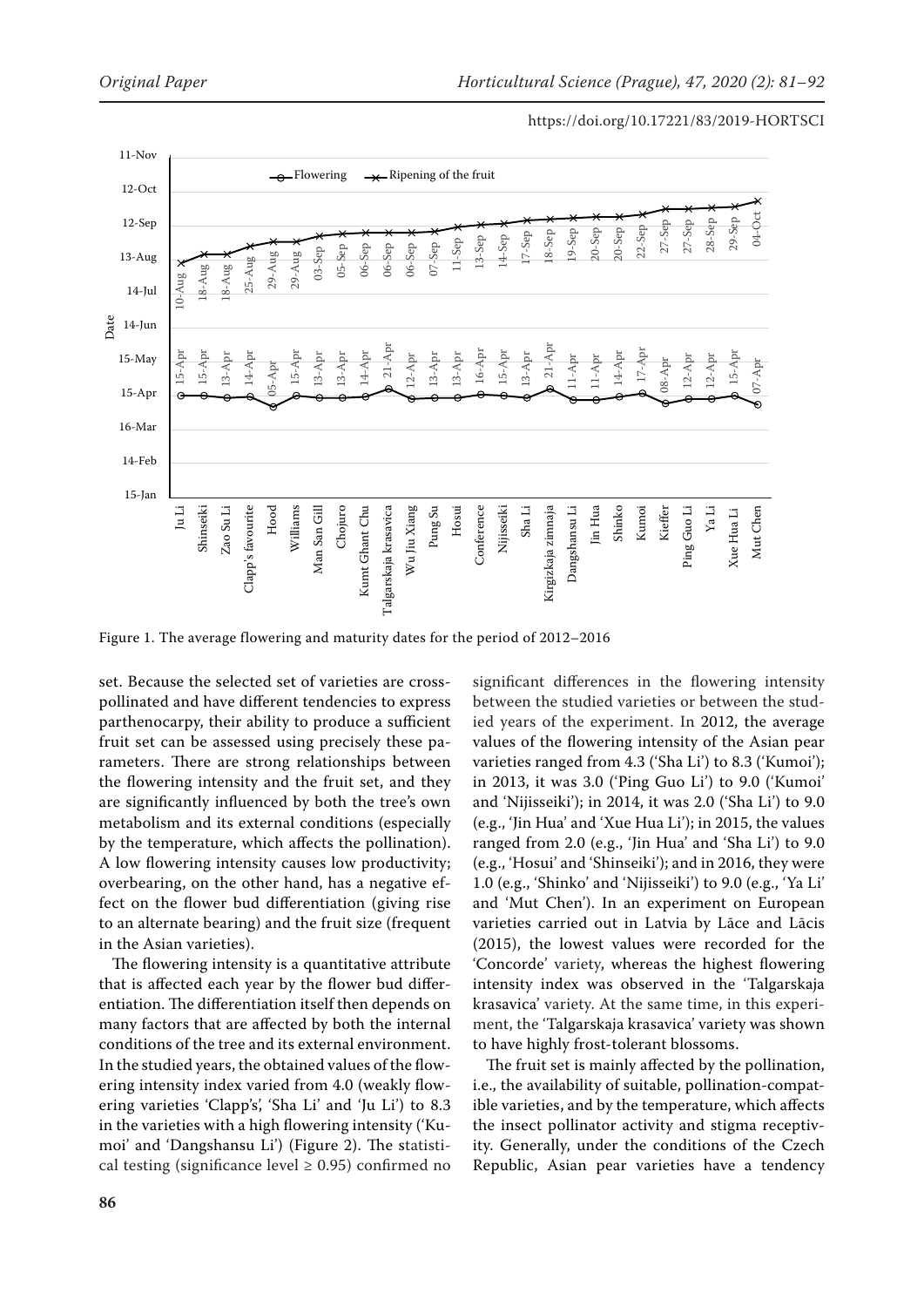

Figure 1. The average flowering and maturity dates for the period of 2012–2016

set. Because the selected set of varieties are crosspollinated and have different tendencies to express parthenocarpy, their ability to produce a sufficient fruit set can be assessed using precisely these parameters. There are strong relationships between the flowering intensity and the fruit set, and they are significantly influenced by both the tree's own metabolism and its external conditions (especially by the temperature, which affects the pollination). A low flowering intensity causes low productivity; overbearing, on the other hand, has a negative effect on the flower bud differentiation (giving rise to an alternate bearing) and the fruit size (frequent in the Asian varieties).

The flowering intensity is a quantitative attribute that is affected each year by the flower bud differentiation. The differentiation itself then depends on many factors that are affected by both the internal conditions of the tree and its external environment. In the studied years, the obtained values of the flowering intensity index varied from 4.0 (weakly flowering varieties 'Clapp's', 'Sha Li' and 'Ju Li') to 8.3 in the varieties with a high flowering intensity ('Kumoi' and 'Dangshansu Li') (Figure 2). The statistical testing (significance level  $\geq$  0.95) confirmed no

significant differences in the flowering intensity between the studied varieties or between the studied years of the experiment. In 2012, the average values of the flowering intensity of the Asian pear varieties ranged from 4.3 ('Sha Li') to 8.3 ('Kumoi'); in 2013, it was 3.0 ('Ping Guo Li') to 9.0 ('Kumoi' and 'Nijisseiki'); in 2014, it was 2.0 ('Sha Li') to 9.0 (e.g., 'Jin Hua' and 'Xue Hua Li'); in 2015, the values ranged from 2.0 (e.g., 'Jin Hua' and 'Sha Li') to 9.0 (e.g., 'Hosui' and 'Shinseiki'); and in 2016, they were 1.0 (e.g., 'Shinko' and 'Nijisseiki') to 9.0 (e.g., 'Ya Li' and 'Mut Chen'). In an experiment on European varieties carried out in Latvia by Lāce and Lācis (2015), the lowest values were recorded for the 'Concorde' variety, whereas the highest flowering intensity index was observed in the 'Talgarskaja krasavica' variety. At the same time, in this experiment, the 'Talgarskaja krasavica' variety was shown to have highly frost-tolerant blossoms.

The fruit set is mainly affected by the pollination, i.e., the availability of suitable, pollination-compatible varieties, and by the temperature, which affects the insect pollinator activity and stigma receptivity. Generally, under the conditions of the Czech Republic, Asian pear varieties have a tendency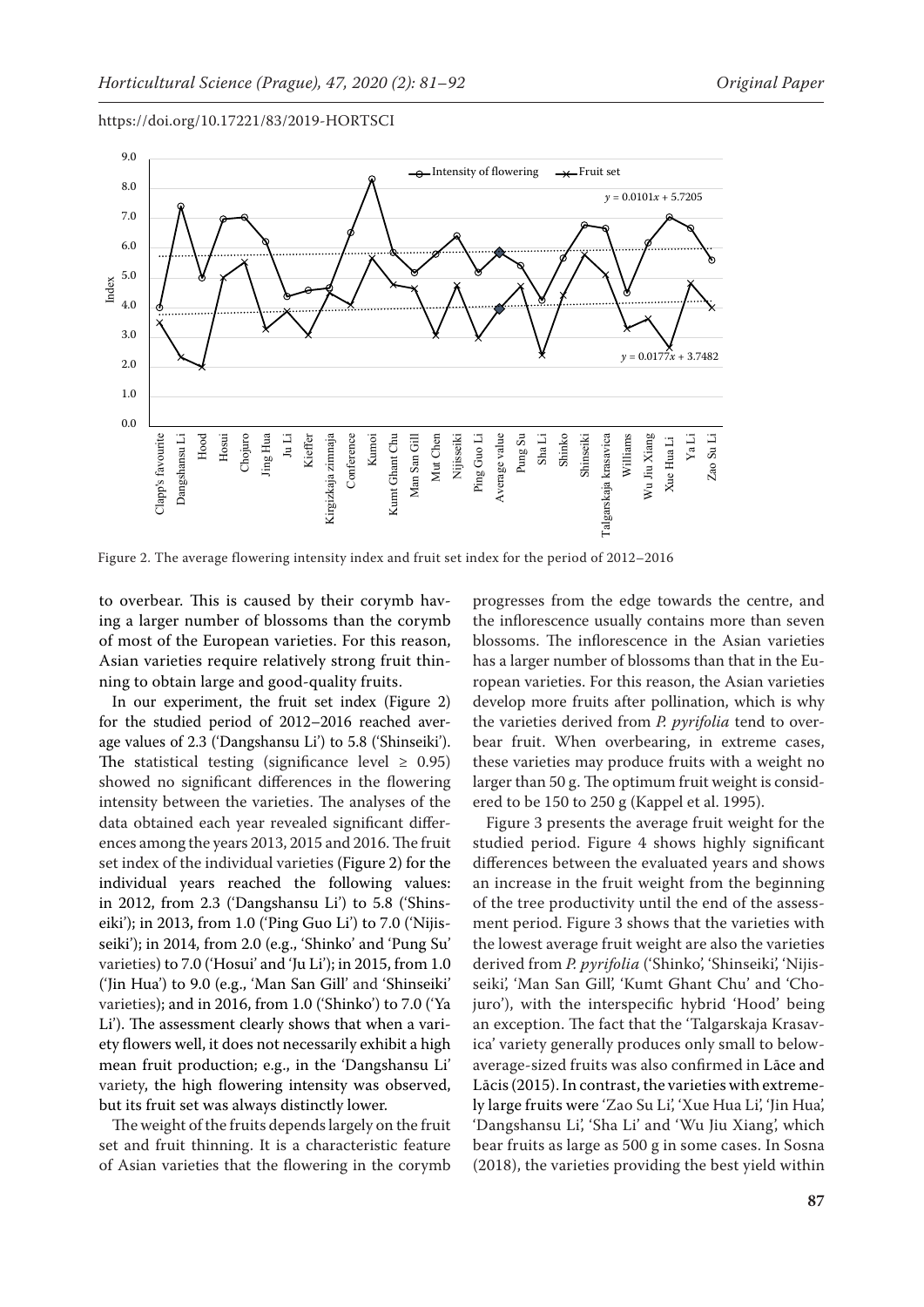

Figure 2. The average flowering intensity index and fruit set index for the period of 2012–2016

to overbear. This is caused by their corymb having a larger number of blossoms than the corymb of most of the European varieties. For this reason, Asian varieties require relatively strong fruit thinning to obtain large and good-quality fruits.

In our experiment, the fruit set index (Figure 2) for the studied period of 2012–2016 reached average values of 2.3 ('Dangshansu Li') to 5.8 ('Shinseiki'). The statistical testing (significance level  $\geq$  0.95) showed no significant differences in the flowering intensity between the varieties. The analyses of the data obtained each year revealed significant differences among the years 2013, 2015 and 2016. The fruit set index of the individual varieties (Figure 2) for the individual years reached the following values: in 2012, from 2.3 ('Dangshansu Li') to 5.8 ('Shinseiki'); in 2013, from 1.0 ('Ping Guo Li') to 7.0 ('Nijisseiki'); in 2014, from 2.0 (e.g., 'Shinko' and 'Pung Su' varieties) to 7.0 ('Hosui' and 'Ju Li'); in 2015, from 1.0 ('Jin Hua') to 9.0 (e.g., 'Man San Gill' and 'Shinseiki' varieties); and in 2016, from 1.0 ('Shinko') to 7.0 ('Ya Li'). The assessment clearly shows that when a variety flowers well, it does not necessarily exhibit a high mean fruit production; e.g., in the 'Dangshansu Li' variety, the high flowering intensity was observed, but its fruit set was always distinctly lower.

The weight of the fruits depends largely on the fruit set and fruit thinning. It is a characteristic feature of Asian varieties that the flowering in the corymb

progresses from the edge towards the centre, and the inflorescence usually contains more than seven blossoms. The inflorescence in the Asian varieties has a larger number of blossoms than that in the European varieties. For this reason, the Asian varieties develop more fruits after pollination, which is why the varieties derived from *P. pyrifolia* tend to overbear fruit. When overbearing, in extreme cases, these varieties may produce fruits with a weight no larger than 50 g. The optimum fruit weight is considered to be 150 to 250 g (Kappel et al. 1995).

Figure 3 presents the average fruit weight for the studied period. Figure 4 shows highly significant differences between the evaluated years and shows an increase in the fruit weight from the beginning of the tree productivity until the end of the assessment period. Figure 3 shows that the varieties with the lowest average fruit weight are also the varieties derived from *P. pyrifolia* ('Shinko', 'Shinseiki', 'Nijisseiki', 'Man San Gill', 'Kumt Ghant Chu' and 'Chojuro'), with the interspecific hybrid 'Hood' being an exception. The fact that the 'Talgarskaja Krasavica' variety generally produces only small to belowaverage-sized fruits was also confirmed in Lāce and Lācis (2015). In contrast, the varieties with extremely large fruits were 'Zao Su Li', 'Xue Hua Li', 'Jin Hua', 'Dangshansu Li', 'Sha Li' and 'Wu Jiu Xiang', which bear fruits as large as 500 g in some cases. In Sosna (2018), the varieties providing the best yield within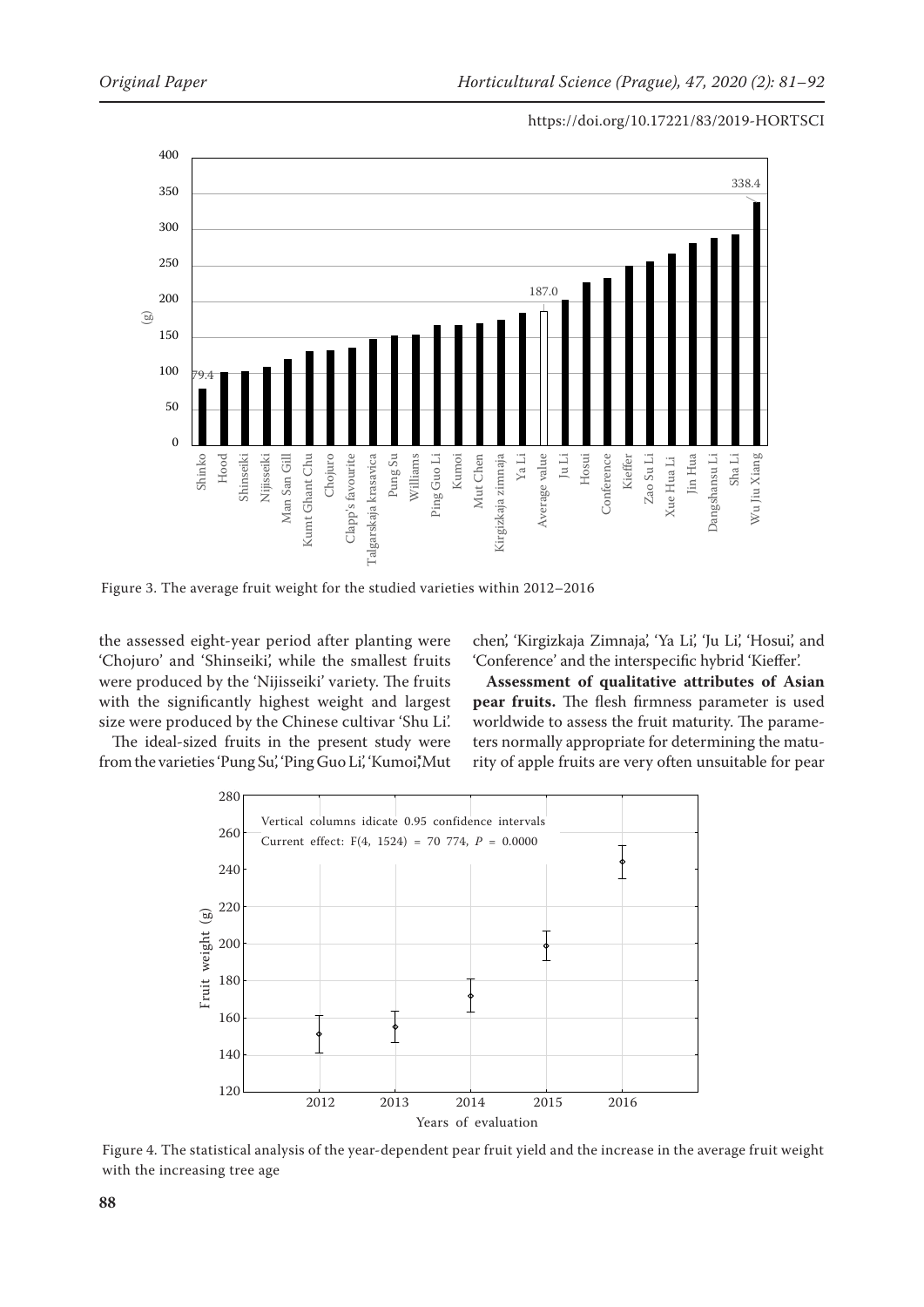



Figure 3. The average fruit weight for the studied varieties within 2012–2016

the assessed eight-year period after planting were 'Chojuro' and 'Shinseiki', while the smallest fruits were produced by the 'Nijisseiki' variety. The fruits with the significantly highest weight and largest size were produced by the Chinese cultivar 'Shu Li'.

The ideal-sized fruits in the present study were from the varieties 'Pung Su,' 'Ping Guo Li,' 'Kumoi,'Mut chen', 'Kirgizkaja Zimnaja', 'Ya Li', 'Ju Li', 'Hosui', and 'Conference' and the interspecific hybrid 'Kieffer'.

**Assessment of qualitative attributes of Asian pear fruits.** The flesh firmness parameter is used worldwide to assess the fruit maturity. The parameters normally appropriate for determining the maturity of apple fruits are very often unsuitable for pear



Figure 4. The statistical analysis of the year-dependent pear fruit yield and the increase in the average fruit weight with the increasing tree age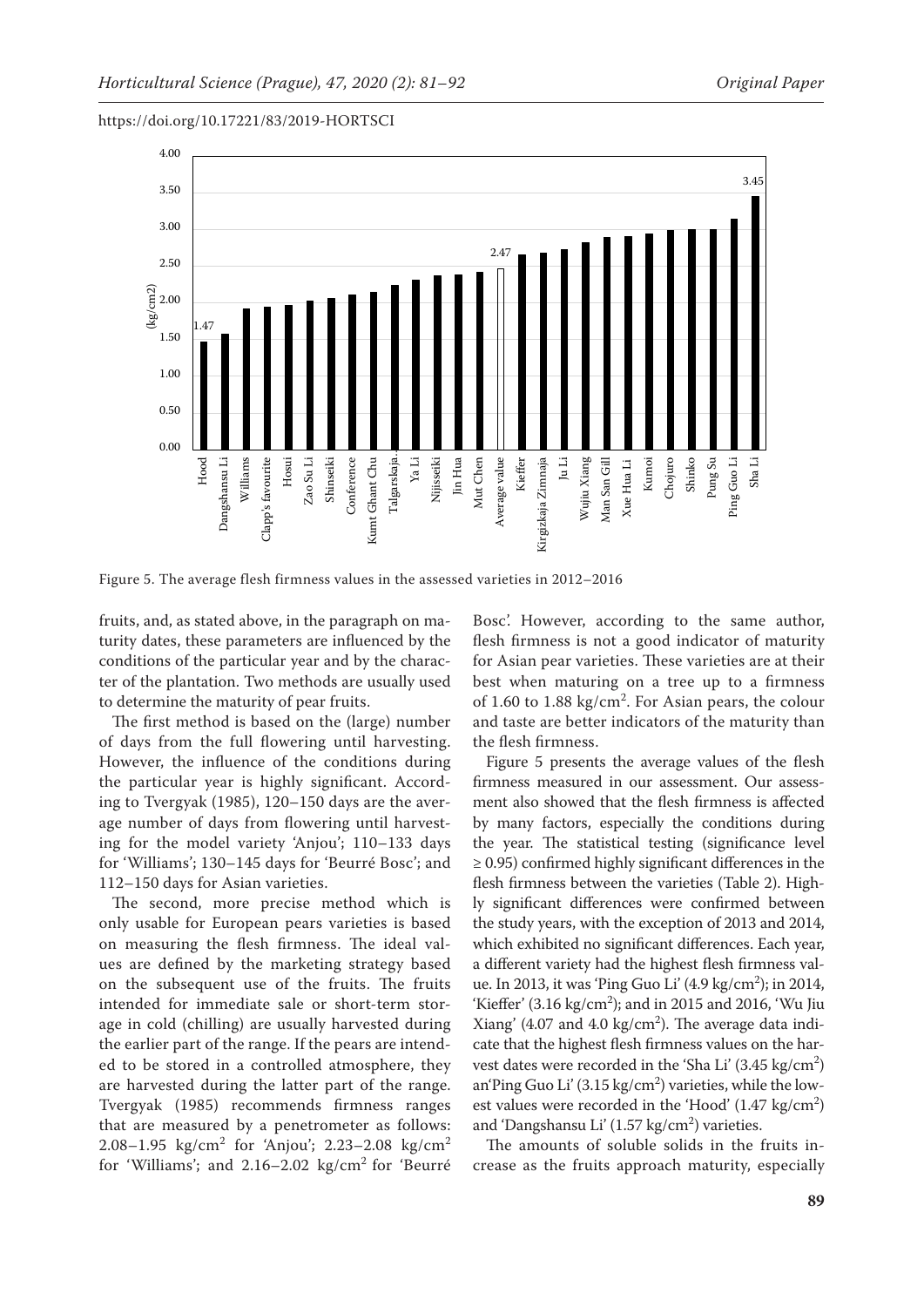

Figure 5. The average flesh firmness values in the assessed varieties in 2012–2016

fruits, and, as stated above, in the paragraph on maturity dates, these parameters are influenced by the conditions of the particular year and by the character of the plantation. Two methods are usually used to determine the maturity of pear fruits.

The first method is based on the (large) number of days from the full flowering until harvesting. However, the influence of the conditions during the particular year is highly significant. According to Tvergyak (1985), 120–150 days are the average number of days from flowering until harvesting for the model variety 'Anjou'; 110–133 days for 'Williams'; 130–145 days for 'Beurré Bosc'; and 112–150 days for Asian varieties.

The second, more precise method which is only usable for European pears varieties is based on measuring the flesh firmness. The ideal values are defined by the marketing strategy based on the subsequent use of the fruits. The fruits intended for immediate sale or short-term storage in cold (chilling) are usually harvested during the earlier part of the range. If the pears are intended to be stored in a controlled atmosphere, they are harvested during the latter part of the range. Tvergyak (1985) recommends firmness ranges that are measured by a penetrometer as follows: 2.08–1.95 kg/cm<sup>2</sup> for 'Anjou'; 2.23–2.08 kg/cm<sup>2</sup> for 'Williams'; and 2.16–2.02 kg/cm2 for 'Beurré Bosc'. However, according to the same author, flesh firmness is not a good indicator of maturity for Asian pear varieties. These varieties are at their best when maturing on a tree up to a firmness of 1.60 to 1.88  $\text{kg/cm}^2$ . For Asian pears, the colour and taste are better indicators of the maturity than the flesh firmness.

Figure 5 presents the average values of the flesh firmness measured in our assessment. Our assessment also showed that the flesh firmness is affected by many factors, especially the conditions during the year. The statistical testing (significance level  $\geq$  0.95) confirmed highly significant differences in the flesh firmness between the varieties (Table 2). Highly significant differences were confirmed between the study years, with the exception of 2013 and 2014, which exhibited no significant differences. Each year, a different variety had the highest flesh firmness value. In 2013, it was 'Ping Guo Li' (4.9 kg/cm<sup>2</sup>); in 2014, 'Kieffer' (3.16 kg/cm<sup>2</sup>); and in 2015 and 2016, 'Wu Jiu Xiang' (4.07 and 4.0  $\text{kg/cm}^2$ ). The average data indicate that the highest flesh firmness values on the harvest dates were recorded in the 'Sha Li'  $(3.45 \text{ kg/cm}^2)$ an'Ping Guo Li' (3.15 kg/cm<sup>2</sup>) varieties, while the lowest values were recorded in the 'Hood'  $(1.47 \text{ kg/cm}^2)$ and 'Dangshansu Li'  $(1.57 \text{ kg/cm}^2)$  varieties.

The amounts of soluble solids in the fruits increase as the fruits approach maturity, especially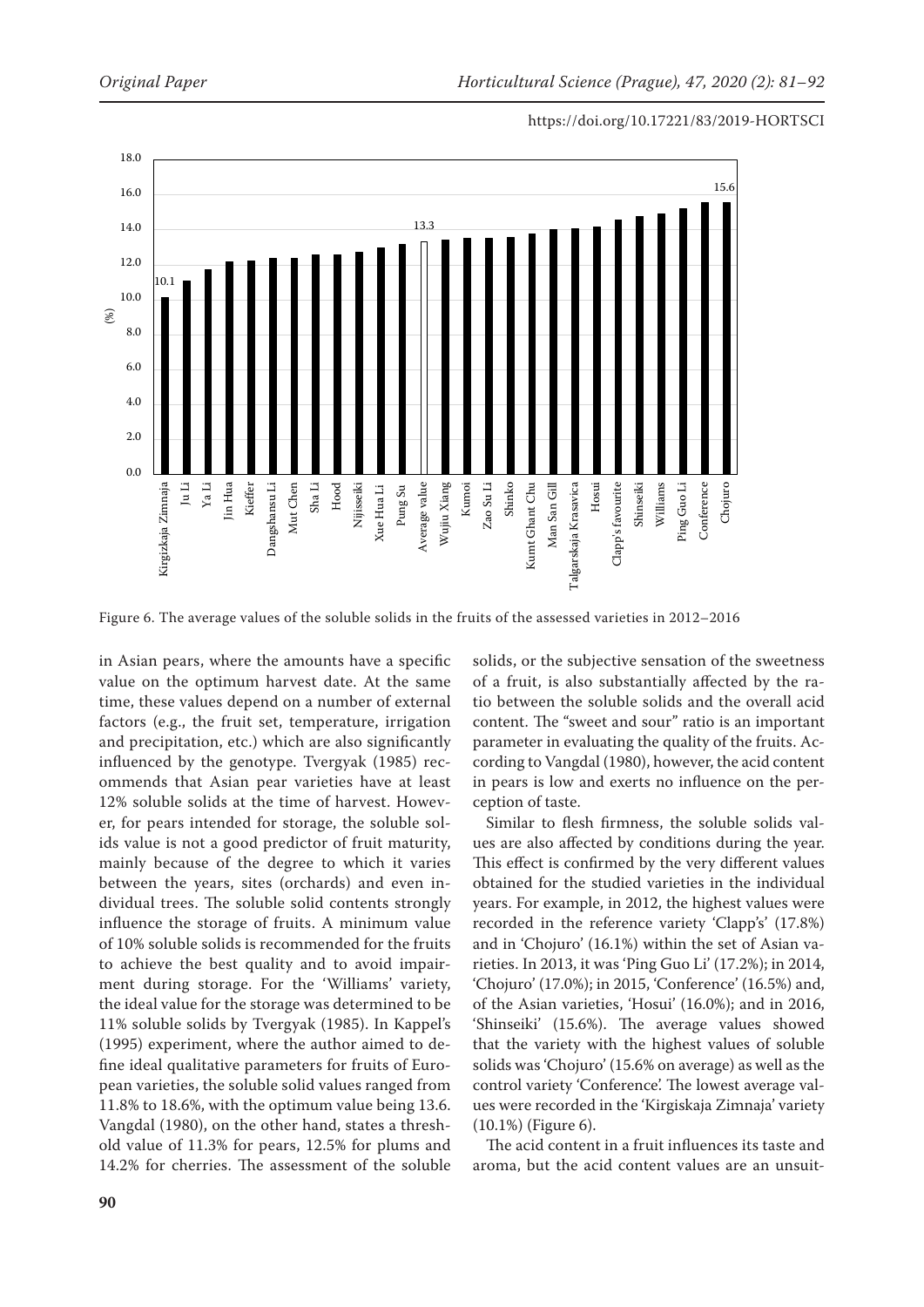

Figure 6. The average values of the soluble solids in the fruits of the assessed varieties in 2012–2016

in Asian pears, where the amounts have a specific value on the optimum harvest date. At the same time, these values depend on a number of external factors (e.g., the fruit set, temperature, irrigation and precipitation, etc.) which are also significantly influenced by the genotype. Tvergyak (1985) recommends that Asian pear varieties have at least 12% soluble solids at the time of harvest. However, for pears intended for storage, the soluble solids value is not a good predictor of fruit maturity, mainly because of the degree to which it varies between the years, sites (orchards) and even individual trees. The soluble solid contents strongly influence the storage of fruits. A minimum value of 10% soluble solids is recommended for the fruits to achieve the best quality and to avoid impairment during storage. For the 'Williams' variety, the ideal value for the storage was determined to be 11% soluble solids by Tvergyak (1985). In Kappel's (1995) experiment, where the author aimed to define ideal qualitative parameters for fruits of European varieties, the soluble solid values ranged from 11.8% to 18.6%, with the optimum value being 13.6. Vangdal (1980), on the other hand, states a threshold value of 11.3% for pears, 12.5% for plums and 14.2% for cherries. The assessment of the soluble solids, or the subjective sensation of the sweetness of a fruit, is also substantially affected by the ratio between the soluble solids and the overall acid content. The "sweet and sour" ratio is an important parameter in evaluating the quality of the fruits. According to Vangdal (1980), however, the acid content in pears is low and exerts no influence on the perception of taste.

Similar to flesh firmness, the soluble solids values are also affected by conditions during the year. This effect is confirmed by the very different values obtained for the studied varieties in the individual years. For example, in 2012, the highest values were recorded in the reference variety 'Clapp's' (17.8%) and in 'Chojuro' (16.1%) within the set of Asian varieties. In 2013, it was 'Ping Guo Li' (17.2%); in 2014, 'Chojuro' (17.0%); in 2015, 'Conference' (16.5%) and, of the Asian varieties, 'Hosui' (16.0%); and in 2016, 'Shinseiki' (15.6%). The average values showed that the variety with the highest values of soluble solids was 'Chojuro' (15.6% on average) as well as the control variety 'Conference'. The lowest average values were recorded in the 'Kirgiskaja Zimnaja' variety (10.1%) (Figure 6).

The acid content in a fruit influences its taste and aroma, but the acid content values are an unsuit-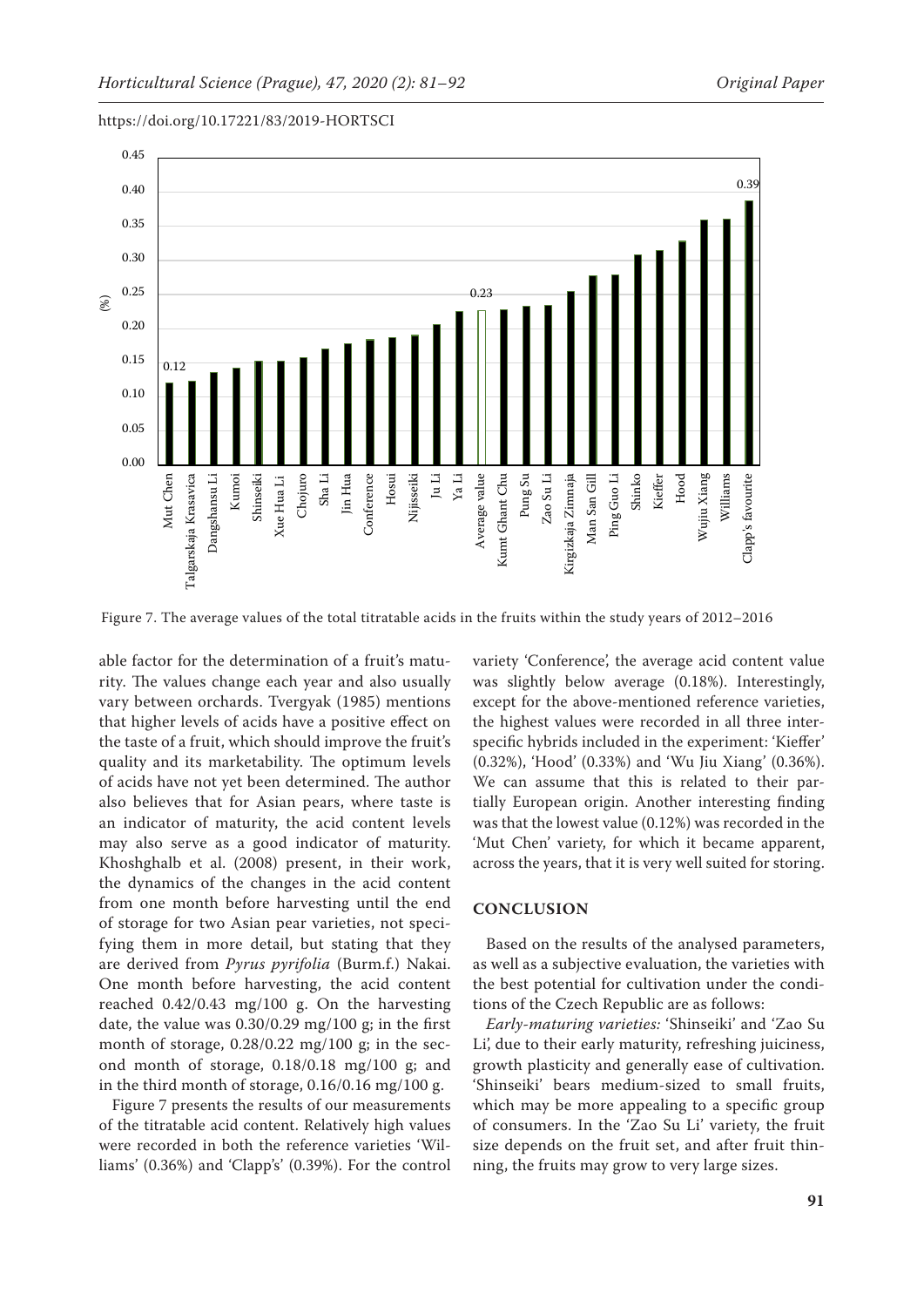0.45 0.39 0.40 0.35 0.30 0.25 0.23 (%) 0.20 0.15 0.12 0.10 0.05 0.00 Average value Wujiu Xiang Williams <sup>r</sup>algarskaja Krasavica Sha Li Jin Hua Ju Li Ya Li Pung Su Zao Su Li Kirgizkaja Zimnaja Ping Guo Li Shinko Kieffer Hood Dangshansu Li Kumoi Chojuro Hosui Kumt Ghant Chu Clapp's favourite Mut Chen Mut Chen Talgarskaja Krasavica Dangshansu Li Shinseiki Shinseiki Xue Hua Li Conference Conference Nijisseiki Average value Kumt Ghant Chu Zao Su Li Kirgizkaja Zimnaja Man San Gill Man San Gill Ping Guo Li Wujiu Xiang Clapp's favourite Xue Hua Li

https://doi.org/10.17221/83/2019-HORTSCI

Figure 7. The average values of the total titratable acids in the fruits within the study years of 2012–2016

able factor for the determination of a fruit's maturity. The values change each year and also usually vary between orchards. Tvergyak (1985) mentions that higher levels of acids have a positive effect on the taste of a fruit, which should improve the fruit's quality and its marketability. The optimum levels of acids have not yet been determined. The author also believes that for Asian pears, where taste is an indicator of maturity, the acid content levels may also serve as a good indicator of maturity. Khoshghalb et al. (2008) present, in their work, the dynamics of the changes in the acid content from one month before harvesting until the end of storage for two Asian pear varieties, not specifying them in more detail, but stating that they are derived from *Pyrus pyrifolia* (Burm.f.) Nakai. One month before harvesting, the acid content reached 0.42/0.43 mg/100 g. On the harvesting date, the value was 0.30/0.29 mg/100 g; in the first month of storage, 0.28/0.22 mg/100 g; in the second month of storage, 0.18/0.18 mg/100 g; and in the third month of storage, 0.16/0.16 mg/100 g.

Figure 7 presents the results of our measurements of the titratable acid content. Relatively high values were recorded in both the reference varieties 'Williams' (0.36%) and 'Clapp's' (0.39%). For the control variety 'Conference', the average acid content value was slightly below average (0.18%). Interestingly, except for the above-mentioned reference varieties, the highest values were recorded in all three interspecific hybrids included in the experiment: 'Kieffer' (0.32%), 'Hood' (0.33%) and 'Wu Jiu Xiang' (0.36%). We can assume that this is related to their partially European origin. Another interesting finding was that the lowest value (0.12%) was recorded in the 'Mut Chen' variety, for which it became apparent, across the years, that it is very well suited for storing.

## **CONCLUSION**

Based on the results of the analysed parameters, as well as a subjective evaluation, the varieties with the best potential for cultivation under the conditions of the Czech Republic are as follows:

*Early-maturing varieties:* 'Shinseiki' and 'Zao Su Li', due to their early maturity, refreshing juiciness, growth plasticity and generally ease of cultivation. 'Shinseiki' bears medium-sized to small fruits, which may be more appealing to a specific group of consumers. In the 'Zao Su Li' variety, the fruit size depends on the fruit set, and after fruit thinning, the fruits may grow to very large sizes.